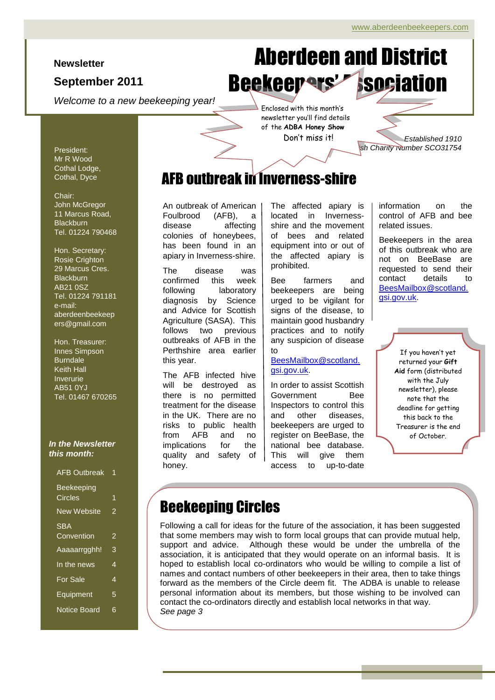#### **Newsletter**

#### **September 2011**

*Welcome to a new beekeeping year!*

# Page 1 of 6 ADBA Newsletter Aberdeen and District Beekeepers' Asociation

newsletter you'll find details Don't miss it!

*Established 1910* **Scottish Charity Number SCO31754** 

## AFB outbreak in Inverness-shire

An outbreak of American Foulbrood (AFB), a disease affecting colonies of honeybees, has been found in an apiary in Inverness-shire.

The disease was confirmed this week following laboratory diagnosis by Science and Advice for Scottish Agriculture (SASA). This follows two previous outbreaks of AFB in the Perthshire area earlier this year.

The AFB infected hive will be destroyed as there is no permitted treatment for the disease in the UK. There are no risks to public health from AFB and no implications for the quality and safety of honey.

The affected apiary is located in Invernessshire and the movement of bees and related equipment into or out of the affected apiary is prohibited.

Bee farmers and beekeepers are being urged to be vigilant for signs of the disease, to maintain good husbandry practices and to notify any suspicion of disease to

#### [BeesMailbox@scotland.](mailto:BeesMailbox@scotland.gsi.gov.uk) [gsi.gov.uk.](mailto:BeesMailbox@scotland.gsi.gov.uk)

In order to assist Scottish Government Bee Inspectors to control this and other diseases, beekeepers are urged to register on BeeBase, the national bee database. This will give them access to up-to-date

information on the control of AFB and bee related issues.

Beekeepers in the area of this outbreak who are not on BeeBase are requested to send their contact details to [BeesMailbox@scotland.](mailto:BeesMailbox@scotland.gsi.gov.uk) [gsi.gov.uk.](mailto:BeesMailbox@scotland.gsi.gov.uk)

> If you haven't yet returned your **Gift Aid** form (distributed with the July newsletter), please note that the deadline for getting this back to the Treasurer is the end of October.

### Beekeeping Circles

 $\overline{a}$ 

Following a call for ideas for the future of the association, it has been suggested that some members may wish to form local groups that can provide mutual help, support and advice. Although these would be under the umbrella of the association, it is anticipated that they would operate on an informal basis. It is hoped to establish local co-ordinators who would be willing to compile a list of names and contact numbers of other beekeepers in their area, then to take things forward as the members of the Circle deem fit. The ADBA is unable to release personal information about its members, but those wishing to be involved can contact the co-ordinators directly and establish local networks in that way. *See page 3*

President: Mr R Wood Cothal Lodge, Cothal, Dyce

#### Chair:

John McGregor 11 Marcus Road, **Blackburn** Tel. 01224 790468

Hon. Secretary: Rosie Crighton 29 Marcus Cres. **Blackburn** AB21 0SZ Tel. 01224 791181 e-mail: aberdeenbeekeep ers@gmail.com

Hon. Treasurer: Innes Simpson Burndale Keith Hall Inverurie AB51 0YJ Tel. 01467 670265

#### *In the Newsletter this month:*

| <b>AFB Outbreak</b> |   |
|---------------------|---|
| <b>Beekeeping</b>   |   |
| Circles             | 1 |
| <b>New Website</b>  | 2 |
| <b>SBA</b>          |   |
| Convention          | 2 |
| Aaaaarrgghh!        | 3 |
| In the news         | 4 |
| <b>For Sale</b>     | 4 |
| Equipment           | 5 |
| <b>Notice Board</b> | 6 |

# Enclosed with this month's of the **ADBA Honey Show**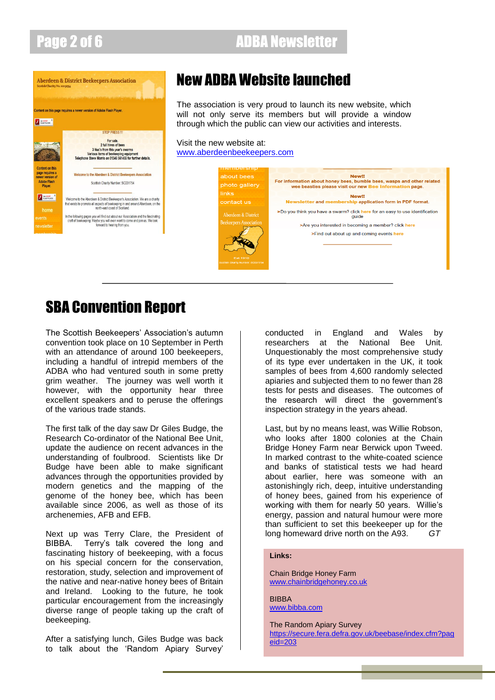## Page 2 of 6 ADBA Newsletter



## New ADBA Website launched

The association is very proud to launch its new website, which will not only serve its members but will provide a window through which the public can view our activities and interests.

#### Visit the new website at: [www.aberdeenbeekeepers.com](http://www.aberdeenbeekeepers.com/)



### SBA Convention Report

The Scottish Beekeepers' Association's autumn convention took place on 10 September in Perth with an attendance of around 100 beekeepers, including a handful of intrepid members of the ADBA who had ventured south in some pretty grim weather. The journey was well worth it however, with the opportunity hear three excellent speakers and to peruse the offerings of the various trade stands.

The first talk of the day saw Dr Giles Budge, the Research Co-ordinator of the National Bee Unit, update the audience on recent advances in the understanding of foulbrood. Scientists like Dr Budge have been able to make significant advances through the opportunities provided by modern genetics and the mapping of the genome of the honey bee, which has been available since 2006, as well as those of its archenemies, AFB and EFB.

Next up was Terry Clare, the President of BIBBA. Terry"s talk covered the long and fascinating history of beekeeping, with a focus on his special concern for the conservation, restoration, study, selection and improvement of the native and near-native honey bees of Britain and Ireland. Looking to the future, he took particular encouragement from the increasingly diverse range of people taking up the craft of beekeeping.

After a satisfying lunch, Giles Budge was back to talk about the "Random Apiary Survey"

conducted in England and Wales by researchers at the National Bee Unit. Unquestionably the most comprehensive study of its type ever undertaken in the UK, it took samples of bees from 4,600 randomly selected apiaries and subjected them to no fewer than 28 tests for pests and diseases. The outcomes of the research will direct the government"s inspection strategy in the years ahead.

Last, but by no means least, was Willie Robson, who looks after 1800 colonies at the Chain Bridge Honey Farm near Berwick upon Tweed. In marked contrast to the white-coated science and banks of statistical tests we had heard about earlier, here was someone with an astonishingly rich, deep, intuitive understanding of honey bees, gained from his experience of working with them for nearly 50 years. Willie's energy, passion and natural humour were more than sufficient to set this beekeeper up for the long homeward drive north on the A93. *GT*

#### **Links:**

Chain Bridge Honey Farm [www.chainbridgehoney.co.uk](http://www.chainbridgehoney.co.uk/)

BIBBA [www.bibba.com](http://www.bibba.com/)

The Random Apiary Survey [https://secure.fera.defra.gov.uk/beebase/index.cfm?pag](https://secure.fera.defra.gov.uk/beebase/index.cfm?pageid=203) [eid=203](https://secure.fera.defra.gov.uk/beebase/index.cfm?pageid=203)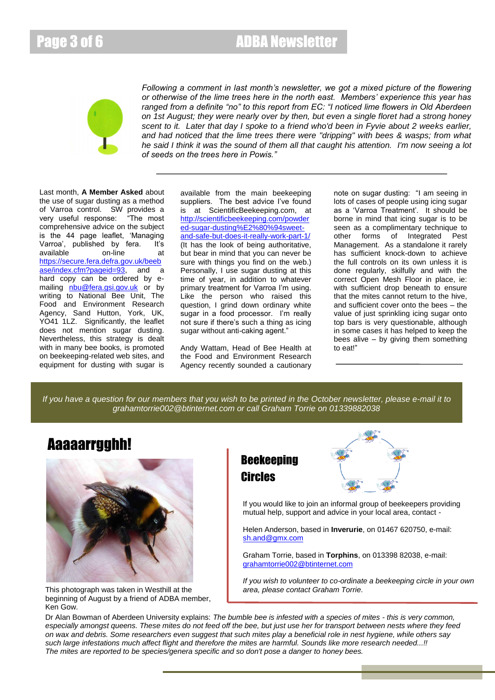Page 3 of 6 ADBA Newsletter



*Following a comment in last month's newsletter, we got a mixed picture of the flowering or otherwise of the lime trees here in the north east. Members' experience this year has ranged from a definite "no" to this report from EC: "I noticed lime flowers in Old Aberdeen on 1st August; they were nearly over by then, but even a single floret had a strong honey scent to it. Later that day I spoke to a friend who'd been in Fyvie about 2 weeks earlier, and had noticed that the lime trees there were "dripping" with bees & wasps; from what he said I think it was the sound of them all that caught his attention. I'm now seeing a lot of seeds on the trees here in Powis."*

Last month, **A Member Asked** about the use of sugar dusting as a method of Varroa control. SW provides a<br>very useful response: "The most very useful response: comprehensive advice on the subject is the 44 page leaflet, "Managing Varroa', published by fera. It's available on-line at [https://secure.fera.defra.gov.uk/beeb](https://secure.fera.defra.gov.uk/beebase/index.cfm?pageid=93) [ase/index.cfm?pageid=93,](https://secure.fera.defra.gov.uk/beebase/index.cfm?pageid=93) and a hard copy can be ordered by emailing [nbu@fera.gsi.gov.uk](mailto:nbu@fera.gsi.gov.uk) or by writing to National Bee Unit, The Food and Environment Research Agency, Sand Hutton, York, UK, YO41 1LZ. Significantly, the leaflet does not mention sugar dusting. Nevertheless, this strategy is dealt with in many bee books, is promoted on beekeeping-related web sites, and equipment for dusting with sugar is

available from the main beekeeping suppliers. The best advice I've found is at ScientificBeekeeping.com, at [http://scientificbeekeeping.com/powder](http://scientificbeekeeping.com/powdered-sugar-dusting%E2%80%94sweet-and-safe-but-does-it-really-work-part-1/) [ed-sugar-dusting%E2%80%94sweet](http://scientificbeekeeping.com/powdered-sugar-dusting%E2%80%94sweet-and-safe-but-does-it-really-work-part-1/)[and-safe-but-does-it-really-work-part-1/](http://scientificbeekeeping.com/powdered-sugar-dusting%E2%80%94sweet-and-safe-but-does-it-really-work-part-1/)  (It has the look of being authoritative, but bear in mind that you can never be sure with things you find on the web.) Personally, I use sugar dusting at this time of year, in addition to whatever primary treatment for Varroa I'm using. Like the person who raised this question, I grind down ordinary white sugar in a food processor. I'm really not sure if there"s such a thing as icing sugar without anti-caking agent."

Andy Wattam, Head of Bee Health at the Food and Environment Research Agency recently sounded a cautionary note on sugar dusting: "I am seeing in lots of cases of people using icing sugar as a 'Varroa Treatment'. It should be borne in mind that icing sugar is to be seen as a complimentary technique to other forms of Integrated Pest Management. As a standalone it rarely has sufficient knock-down to achieve the full controls on its own unless it is done regularly, skilfully and with the correct Open Mesh Floor in place, ie: with sufficient drop beneath to ensure that the mites cannot return to the hive, and sufficient cover onto the bees – the value of just sprinkling icing sugar onto top bars is very questionable, although in some cases it has helped to keep the bees alive – by giving them something to eat!"

*If you have a question for our members that you wish to be printed in the October newsletter, please e-mail it to grahamtorrie002@btinternet.com or call Graham Torrie on 01339882038*

### Aaaaarrgghh!



This photograph was taken in Westhill at the beginning of August by a friend of ADBA member, Ken Gow.

### **Beekeeping** Circles



If you would like to join an informal group of beekeepers providing mutual help, support and advice in your local area, contact -

Helen Anderson, based in **Inverurie**, on 01467 620750, e-mail: [sh.and@gmx.com](mailto:sh.and@gmx.com)

Graham Torrie, based in **Torphins**, on 013398 82038, e-mail: [grahamtorrie002@btinternet.com](mailto:grahamtorrie002@btinternet.com)

*If you wish to volunteer to co-ordinate a beekeeping circle in your own area, please contact Graham Torrie.*

Dr Alan Bowman of Aberdeen University explains: *The bumble bee is infested with a species of mites - this is very common, especially amongst queens. These mites do not feed off the bee, but just use her for transport between nests where they feed on wax and debris. Some researchers even suggest that such mites play a beneficial role in nest hygiene, while others say such large infestations much affect flight and therefore the mites are harmful. Sounds like more research needed...!! The mites are reported to be species/genera specific and so don't pose a danger to honey bees.*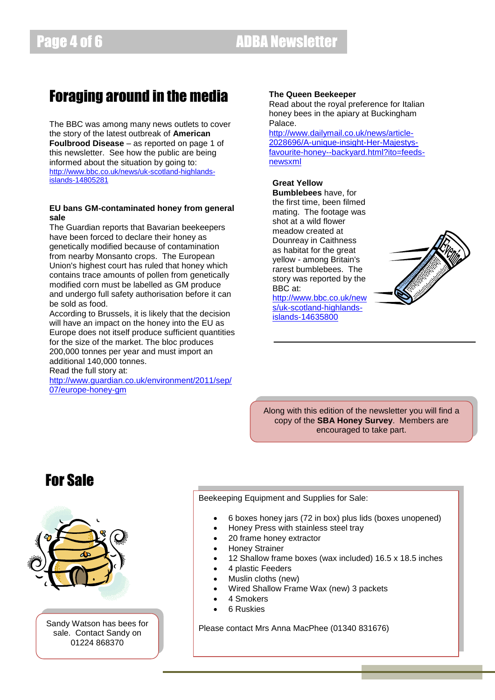## Foraging around in the media

The BBC was among many news outlets to cover the story of the latest outbreak of **American Foulbrood Disease** – as reported on page 1 of this newsletter. See how the public are being informed about the situation by going to: [http://www.bbc.co.uk/news/uk-scotland-highlands](http://www.bbc.co.uk/news/uk-scotland-highlands-islands-14805281)[islands-14805281](http://www.bbc.co.uk/news/uk-scotland-highlands-islands-14805281)

#### **EU bans GM-contaminated honey from general sale**

The Guardian reports that Bavarian beekeepers have been forced to declare their honey as genetically modified because of contamination from nearby Monsanto crops. The European Union's highest court has ruled that honey which contains trace amounts of pollen from genetically modified corn must be labelled as GM produce and undergo full safety authorisation before it can be sold as food.

According to Brussels, it is likely that the decision will have an impact on the honey into the EU as Europe does not itself produce sufficient quantities for the size of the market. The bloc produces 200,000 tonnes per year and must import an additional 140,000 tonnes.

Read the full story at:

[http://www.guardian.co.uk/environment/2011/sep/](http://www.guardian.co.uk/environment/2011/sep/07/europe-honey-gm) [07/europe-honey-gm](http://www.guardian.co.uk/environment/2011/sep/07/europe-honey-gm)

#### **The Queen Beekeeper**

Read about the royal preference for Italian honey bees in the apiary at Buckingham Palace.

[http://www.dailymail.co.uk/news/article-](http://www.dailymail.co.uk/news/article-2028696/A-unique-insight-Her-Majestys-favourite-honey--backyard.html?ito=feeds-newsxml)[2028696/A-unique-insight-Her-Majestys](http://www.dailymail.co.uk/news/article-2028696/A-unique-insight-Her-Majestys-favourite-honey--backyard.html?ito=feeds-newsxml)[favourite-honey--backyard.html?ito=feeds](http://www.dailymail.co.uk/news/article-2028696/A-unique-insight-Her-Majestys-favourite-honey--backyard.html?ito=feeds-newsxml)[newsxml](http://www.dailymail.co.uk/news/article-2028696/A-unique-insight-Her-Majestys-favourite-honey--backyard.html?ito=feeds-newsxml)

#### **Great Yellow**

**Bumblebees** have, for the first time, been filmed mating. The footage was shot at a wild flower meadow created at Dounreay in Caithness as habitat for the great yellow - among Britain's rarest bumblebees. The story was reported by the BBC at:

[http://www.bbc.co.uk/new](http://www.bbc.co.uk/news/uk-scotland-highlands-islands-14635800) [s/uk-scotland-highlands](http://www.bbc.co.uk/news/uk-scotland-highlands-islands-14635800)[islands-14635800](http://www.bbc.co.uk/news/uk-scotland-highlands-islands-14635800)



Along with this edition of the newsletter you will find a copy of the **SBA Honey Survey**. Members are encouraged to take part.

### For Sale



Sandy Watson has bees for sale. Contact Sandy on 01224 868370

Beekeeping Equipment and Supplies for Sale:

- 6 boxes honey jars (72 in box) plus lids (boxes unopened)
- Honey Press with stainless steel tray
- 20 frame honey extractor
- Honey Strainer
- 12 Shallow frame boxes (wax included) 16.5 x 18.5 inches
- 4 plastic Feeders
- Muslin cloths (new)
- Wired Shallow Frame Wax (new) 3 packets
- 4 Smokers
- 6 Ruskies

Please contact Mrs Anna MacPhee (01340 831676)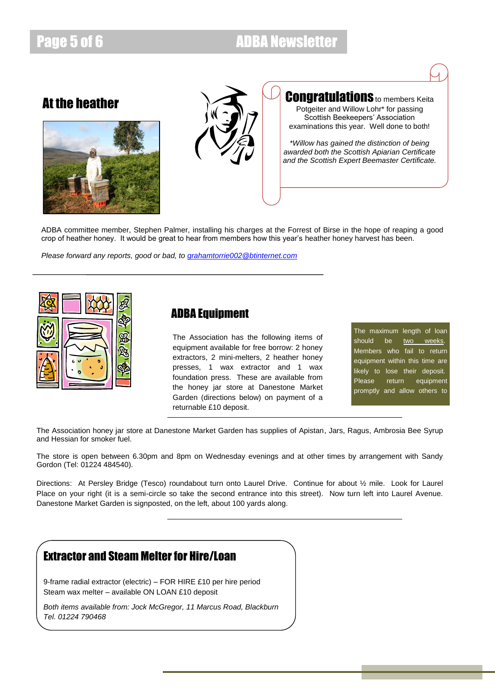### Page 5 of 6 ADBA Newsletter

### At the heather





### **Congratulations** to members Keita

Potgeiter and Willow Lohr\* for passing Scottish Beekeepers' Association examinations this year. Well done to both!

*\*Willow has gained the distinction of being awarded both the Scottish Apiarian Certificate and the Scottish Expert Beemaster Certificate.*

ADBA committee member, Stephen Palmer, installing his charges at the Forrest of Birse in the hope of reaping a good crop of heather honey. It would be great to hear from members how this year"s heather honey harvest has been.

*Please forward any reports, good or bad, to [grahamtorrie002@btinternet.com](mailto:grahamtorrie002@btinternet.com)*



#### ADBA Equipment

The Association has the following items of equipment available for free borrow: 2 honey extractors, 2 mini-melters, 2 heather honey presses, 1 wax extractor and 1 wax foundation press. These are available from the honey jar store at Danestone Market Garden (directions below) on payment of a returnable £10 deposit.

The maximum length of loan should be two weeks. Members who fail to return equipment within this time are likely to lose their deposit. Please return equipment promptly and allow others to

The Association honey jar store at Danestone Market Garden has supplies of Apistan, Jars, Ragus, Ambrosia Bee Syrup and Hessian for smoker fuel.

The store is open between 6.30pm and 8pm on Wednesday evenings and at other times by arrangement with Sandy Gordon (Tel: 01224 484540).

Directions: At Persley Bridge (Tesco) roundabout turn onto Laurel Drive. Continue for about ½ mile. Look for Laurel Place on your right (it is a semi-circle so take the second entrance into this street). Now turn left into Laurel Avenue. Danestone Market Garden is signposted, on the left, about 100 yards along.

### Extractor and Steam Melter for Hire/Loan

9-frame radial extractor (electric) – FOR HIRE £10 per hire period Steam wax melter – available ON LOAN £10 deposit

*Both items available from: Jock McGregor, 11 Marcus Road, Blackburn Tel. 01224 790468*